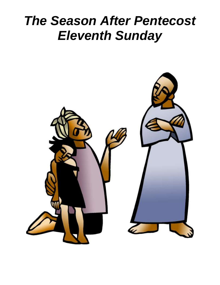# *The Season After Pentecost Eleventh Sunday*

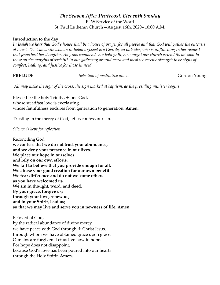### *The Season After Pentecost: Eleventh Sunday* ELW Service of the Word St. Paul Lutheran Church—August 16th, 2020– 10:00 A.M.

### **Introduction to the day**

In Isaiah we hear that God's house shall be a house of prayer for all people and that God will gather the outcasts *of Israel. The Canaanite woman in today's gospel is a Gentile, an outsider, who is unflinching in her request that Jesus heal her daughter. As Jesus commends her bold faith, how might our church extend its mission to those on the margins of society? In our gathering around word and meal we receive strength to be signs of comfort, healing, and justice for those in need.*

**PRELUDE** Selection of meditative music **Selection** Gordon Young

*All may make the sign of the cross, the sign marked at baptism, as the presiding minister begins.*

Blessed be the holy Trinity,  $+$  one God, whose steadfast love is everlasting, whose faithfulness endures from generation to generation. **Amen.**

Trusting in the mercy of God, let us confess our sin.

*Silence is kept for reflection.*

Reconciling God, **we confess that we do not trust your abundance, and we deny your presence in our lives. We place our hope in ourselves and rely on our own efforts. We fail to believe that you provide enough for all. We abuse your good creation for our own benefit. We fear difference and do not welcome others as you have welcomed us. We sin in thought, word, and deed. By your grace, forgive us; through your love, renew us; and in your Spirit, lead us; so that we may live and serve you in newness of life. Amen.**

Beloved of God, by the radical abundance of divine mercy we have peace with God through  $+$  Christ Jesus, through whom we have obtained grace upon grace. Our sins are forgiven. Let us live now in hope. For hope does not disappoint, because God's love has been poured into our hearts through the Holy Spirit. **Amen.**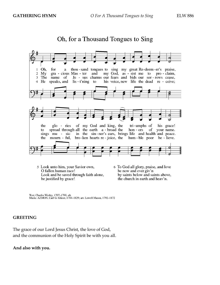

Oh, for a Thousand Tongues to Sing

- 5 Look unto him, your Savior own, O fallen human race! Look and be saved through faith alone, be justified by grace!
- 6 To God all glory, praise, and love be now and ever giv'n by saints below and saints above, the church in earth and heav'n.

Text: Charles Wesley, 1707-1788, alt.<br>Music: AZMON, Carl G. Gläser, 1784-1829; arr. Lowell Mason, 1792-1872

### **GREETING**

The grace of our Lord Jesus Christ, the love of God, and the communion of the Holy Spirit be with you all.

### **And also with you.**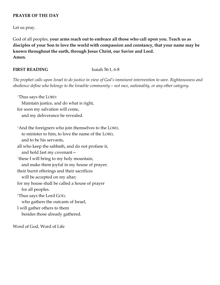### **PRAYER OF THE DAY**

Let us pray.

God of all peoples, **your arms reach out to embrace all those who call upon you. Teach us as disciples of your Son to love the world with compassion and constancy, that your name may be known throughout the earth, through Jesus Christ, our Savior and Lord. Amen.**

### **FIRST READING** Isaiah 56:1, 6-8

*The prophet calls upon Israel to do justice in view of God's imminent intervention to save. Righteousness and obedience define who belongs to the Israelite community—not race, nationality, or any other category.*

<sup>1</sup>Thus says the LORD: Maintain justice, and do what is right, for soon my salvation will come, and my deliverance be revealed. <sup>6</sup>And the foreigners who join themselves to the LORD, to minister to him, to love the name of the LORD, and to be his servants, all who keep the sabbath, and do not profane it, and hold fast my covenant— <sup>7</sup>these I will bring to my holy mountain, and make them joyful in my house of prayer; their burnt offerings and their sacrifices will be accepted on my altar; for my house shall be called a house of prayer for all peoples. <sup>8</sup>Thus says the Lord GOD, who gathers the outcasts of Israel, I will gather others to them besides those already gathered.

Word of God, Word of Life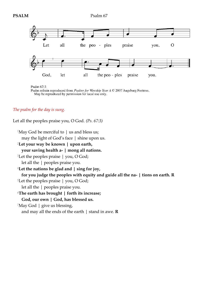

Psalm 67:3

Psalm refrain reproduced from Psalter for Worship Year A © 2007 Augsburg Fortress. May be reproduced by permission for local use only.

### *The psalm for the day is sung.*

Let all the peoples praise you, O God. *(Ps. 67:3)*

<sup>1</sup>May God be merciful to  $|$  us and bless us; may the light of God's face | shine upon us. <sup>2</sup>**Let your way be known | upon earth, your saving health a- | mong all nations.** <sup>3</sup>Let the peoples praise | you, O God; let all the | peoples praise you. <sup>4</sup>**Let the nations be glad and | sing for joy, for you judge the peoples with equity and guide all the na- | tions on earth. R** <sup>5</sup>Let the peoples praise | you, O God; let all the | peoples praise you. <sup>6</sup>**The earth has brought | forth its increase; God, our own | God, has blessed us.**  $^7$ May God | give us blessing, and may all the ends of the earth | stand in awe. **R**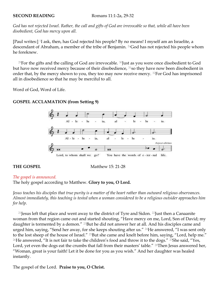*God has not rejected Israel. Rather, the call and gifts of God are irrevocable so that, while all have been disobedient, God has mercy upon all.*

[Paul writes:] 1I ask, then, has God rejected his people? By no means! I myself am an Israelite, a descendant of Abraham, a member of the tribe of Benjamin. 2aGod has not rejected his people whom he foreknew.

<sup>29</sup>For the gifts and the calling of God are irrevocable.  $30$  just as you were once disobedient to God but have now received mercy because of their disobedience, 31so they have now been disobedient in order that, by the mercy shown to you, they too may now receive mercy. 32For God has imprisoned all in disobedience so that he may be merciful to all.

Word of God, Word of Life.

### **GOSPEL ACCLAMATION (from Setting 9)**



**THE GOSPEL** Matthew 15: 21-28

### *The gospel is announced.*

### The holy gospel according to Matthew. **Glory to you, O Lord.**

*Jesus teaches his disciples that true purity is a matter of the heart rather than outward religious observances. Almost immediately, this teaching is tested when a woman considered to be a religious outsider approaches him for help.*

<sup>21</sup> Jesus left that place and went away to the district of Tyre and Sidon. <sup>22</sup> Just then a Canaanite woman from that region came out and started shouting, "Have mercy on me, Lord, Son of David; my daughter is tormented by a demon." <sup>23</sup>But he did not answer her at all. And his disciples came and urged him, saying, "Send her away, for she keeps shouting after us." <sup>24</sup>He answered, "I was sent only to the lost sheep of the house of Israel." <sup>25</sup>But she came and knelt before him, saying, "Lord, help me." <sup>26</sup>He answered, "It is not fair to take the children's food and throw it to the dogs." <sup>27</sup>She said, "Yes, Lord, yet even the dogs eat the crumbs that fall from their masters' table." <sup>28</sup>Then Jesus answered her, "Woman, great is your faith! Let it be done for you as you wish." And her daughter was healed instantly.

The gospel of the Lord. **Praise to you, O Christ.**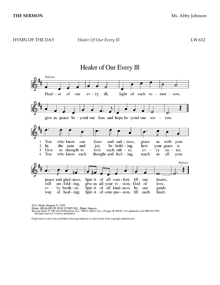## Healer of Our Every Ill



Text: Marty Haugen, b. 1950

FOR THE ALLER OF OUR EVERY ILL, Marty Haugen<br>Text and music © 1987 GIA Publications, Inc., 7404 S. Mason Ave., Chicago, IL 60638. www.giamusic.com. 800.442.3358.<br>All rights reserved. Used by permission.

Duplication in any form prohibited without permission or valid license from copyright administrator.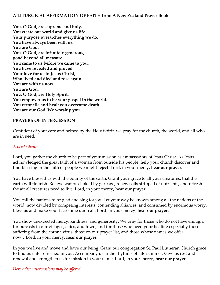### **A LITURGICAL AFFIRMATION OF FAITH from A New Zealand Prayer Book**

**You, O God, are supreme and holy. You create our world and give us life. Your purpose overarches everything we do. You have always been with us. You are God. You, O God, are infinitely generous, good beyond all measure. You came to us before we came to you. You have revealed and proved Your love for us in Jesus Christ, Who lived and died and rose again. You are with us now. You are God. You, O God, are Holy Spirit. You empower us to be your gospel in the world. You reconcile and heal; you overcome death. You are our God. We worship you.** 

### **PRAYERS OF INTERCESSION**

Confident of your care and helped by the Holy Spirit, we pray for the church, the world, and all who are in need.

### *A brief silence.*

Lord, you gather the church to be part of your mission as ambassadors of Jesus Christ. As Jesus acknowledged the great faith of a woman from outside his people, help your church discover and find blessing in the faith of people we might reject. Lord, in your mercy, **hear our prayer.**

You have blessed us with the bounty of the earth. Grant your grace to all your creatures, that the earth will flourish. Relieve waters choked by garbage, renew soils stripped of nutrients, and refresh the air all creatures need to live. Lord, in your mercy, **hear our prayer.**

You call the nations to be glad and sing for joy. Let your way be known among all the nations of the world, now divided by competing interests, contending alliances, and consumed by enormous worry. Bless us and make your face shine upon all. Lord, in your mercy, **hear our prayer.**

You show unexpected mercy, kindness, and generosity. We pray for those who do not have enough, for outcasts in our villages, cities, and town, and for those who need your healing especially those suffering from the corona virus, those on our prayer list, and those whose names we offer now…Lord, in your mercy, **hear our prayer.**

In you we live and move and have our being. Grant our congregation St. Paul Lutheran Church grace to find our life refreshed in you. Accompany us in the rhythms of late summer. Give us rest and renewal and strengthen us for mission in your name. Lord, in your mercy, **hear our prayer.**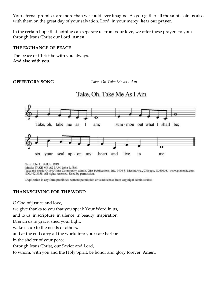Your eternal promises are more than we could ever imagine. As you gather all the saints join us also with them on the great day of your salvation. Lord, in your mercy, **hear our prayer.**

In the certain hope that nothing can separate us from your love, we offer these prayers to you; through Jesus Christ our Lord. **Amen.**

### **THE EXCHANGE OF PEACE**

The peace of Christ be with you always. **And also with you.**

**OFFERTORY SONG** *Take, Oh Take Me as I Am*

Take, Oh, Take Me As I Am

### Take, oh, take me as I am; sum-mon out what I shall be; seal up - on my heart and live in me. set your

Text: John L. Bell, b. 1949

Music: TAKE ME AS I AM, John L. Bell

Text and music © 1995 Iona Community, admin. GIA Publications, Inc. 7404 S. Mason Ave., Chicago, IL 60638. www.giamusic.com 800.442.3358 All rights reserved. Used by permission.

Duplication in any form prohibited without permission or valid license from copyright administrator.

### **THANKSGIVING FOR THE WORD**

O God of justice and love,

we give thanks to you that you speak Your Word in us,

and to us, in scripture, in silence, in beauty, inspiration.

Drench us in grace, shed your light,

wake us up to the needs of others,

and at the end carry all the world into your safe harbor

in the shelter of your peace,

through Jesus Christ, our Savior and Lord,

to whom, with you and the Holy Spirit, be honor and glory forever. **Amen.**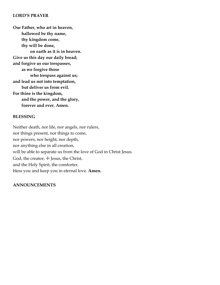### **LORD'S PRAYER**

**Our Father, who art in heaven, hallowed be thy name, thy kingdom come, thy will be done, on earth as it is in heaven. Give us this day our daily bread; and forgive us our trespasses, as we forgive those who trespass against us; and lead us not into temptation, but deliver us from evil. For thine is the kingdom, and the power, and the glory, forever and ever. Amen.**

### **BLESSING**

Neither death, nor life, nor angels, nor rulers, nor things present, nor things to come, nor powers, nor height, nor depth, nor anything else in all creation, will be able to separate us from the love of God in Christ Jesus. God, the creator,  $\pm$  Jesus, the Christ, and the Holy Spirit, the comforter, bless you and keep you in eternal love. **Amen.**

### **ANNOUNCEMENTS**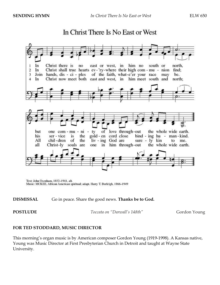

# In Christ There Is No East or West

Text: John Oxenham, 1852-1941, alt. Music: MCKEE, African American spiritual; adapt. Harry T. Burleigh, 1866-1949

### **DISMISSAL** Go in peace. Share the good news. **Thanks be to God.**

**POSTLUDE** *Toccata on "Darwall's 148th"* Gordon Young

### **FOR TED STODDARD, MUSIC DIRECTOR**

This morning's organ music is by American composer Gordon Young (1919-1998). A Kansas native, Young was Music Director at First Presbyterian Church in Detroit and taught at Wayne State University.